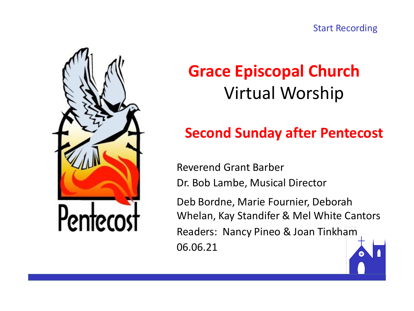



# **Grace Episcopal Church** Virtual Worship

# **Second Sunday after Pentecost**

Reverend Grant Barber Dr. Bob Lambe, Musical Director

Deb Bordne, Marie Fournier, Deborah Whelan, Kay Standifer & Mel White Cantors Readers: Nancy Pineo & Joan Tinkham 06.06.21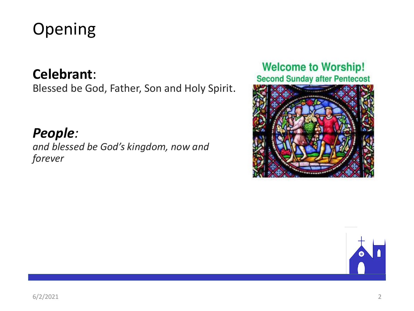# Opening

## **Celebrant**:

Blessed be God, Father, Son and Holy Spirit.

## *People:*

*and blessed be God's kingdom, now and forever*

#### **Welcome to Worship! Second Sunday after Pentecost**



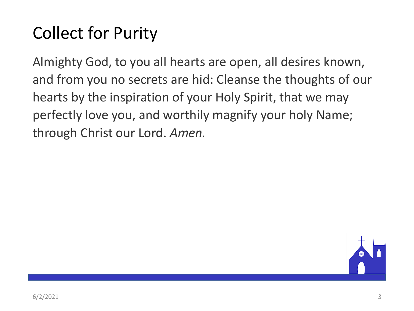# Collect for Purity

Almighty God, to you all hearts are open, all desires known, and from you no secrets are hid: Cleanse the thoughts of our hearts by the inspiration of your Holy Spirit, that we may perfectly love you, and worthily magnify your holy Name; through Christ our Lord. *Amen.*

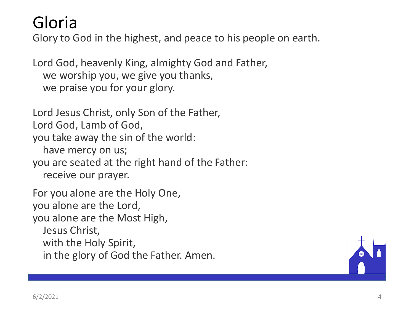# Gloria

Glory to God in the highest, and peace to his people on earth.

Lord God, heavenly King, almighty God and Father, we worship you, we give you thanks, we praise you for your glory.

Lord Jesus Christ, only Son of the Father, Lord God, Lamb of God, you take away the sin of the world: have mercy on us; you are seated at the right hand of the Father: receive our prayer.

For you alone are the Holy One, you alone are the Lord, you alone are the Most High, Jesus Christ, with the Holy Spirit, in the glory of God the Father. Amen.

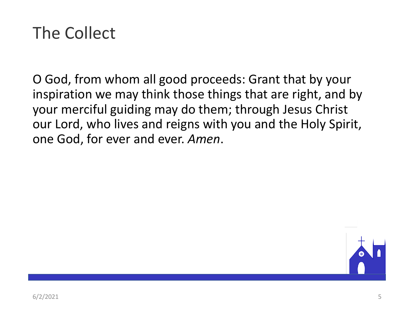# The Collect

O God, from whom all good proceeds: Grant that by your inspiration we may think those things that are right, and by your merciful guiding may do them; through Jesus Christ our Lord, who lives and reigns with you and the Holy Spirit, one God, for ever and ever. *Amen*.

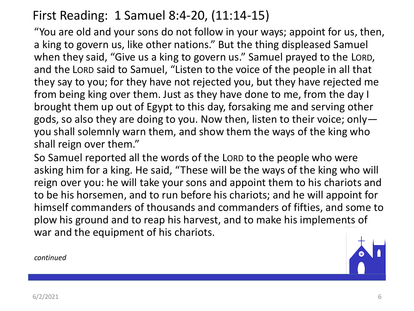## First Reading: 1 Samuel 8:4-20, (11:14-15)

"You are old and your sons do not follow in your ways; appoint for us, then, a king to govern us, like other nations." But the thing displeased Samuel when they said, "Give us a king to govern us." Samuel prayed to the LORD, and the LORD said to Samuel, "Listen to the voice of the people in all that they say to you; for they have not rejected you, but they have rejected me from being king over them. Just as they have done to me, from the day I brought them up out of Egypt to this day, forsaking me and serving other gods, so also they are doing to you. Now then, listen to their voice; only you shall solemnly warn them, and show them the ways of the king who shall reign over them."

So Samuel reported all the words of the LORD to the people who were asking him for a king. He said, "These will be the ways of the king who will reign over you: he will take your sons and appoint them to his chariots and to be his horsemen, and to run before his chariots; and he will appoint for himself commanders of thousands and commanders of fifties, and some to plow his ground and to reap his harvest, and to make his implements of war and the equipment of his chariots.

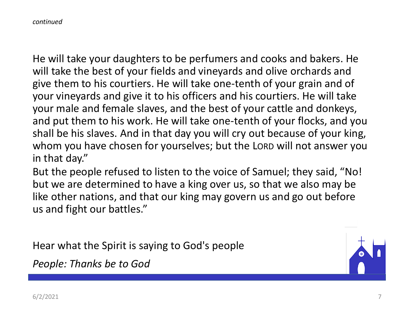*continued*

He will take your daughters to be perfumers and cooks and bakers. He will take the best of your fields and vineyards and olive orchards and give them to his courtiers. He will take one-tenth of your grain and of your vineyards and give it to his officers and his courtiers. He will take your male and female slaves, and the best of your cattle and donkeys, and put them to his work. He will take one-tenth of your flocks, and you shall be his slaves. And in that day you will cry out because of your king, whom you have chosen for yourselves; but the LORD will not answer you in that day."

But the people refused to listen to the voice of Samuel; they said, "No! but we are determined to have a king over us, so that we also may be like other nations, and that our king may govern us and go out before us and fight our battles."

Hear what the Spirit is saying to God's people

*People: Thanks be to God*

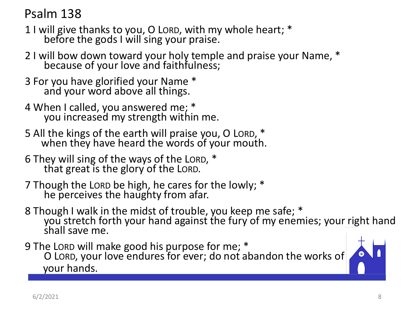Psalm 138

- 1 I will give thanks to you, O LORD, with my whole heart; \* before the gods I will sing your praise.
- 2 I will bow down toward your holy temple and praise your Name, \* because of your love and faithfulness;
- 3 For you have glorified your Name \* and your word above all things.
- 4 When I called, you answered me; \* you increased my strength within me.
- 5 All the kings of the earth will praise you, O LORD, \* when they have heard the words of your mouth.
- 6 They will sing of the ways of the LORD, \* that great is the glory of the LORD.
- 7 Though the LORD be high, he cares for the lowly; \* he perceives the haughty from afar.
- 8 Though I walk in the midst of trouble, you keep me safe; \* you stretch forth your hand against the fury of my enemies; your right hand shall save me.
- 9 The LORD will make good his purpose for me; \* O LORD, your love endures for ever; do not abandon the works of your hands.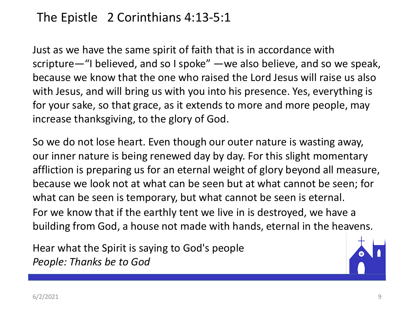## The Epistle 2 Corinthians 4:13-5:1

Just as we have the same spirit of faith that is in accordance with scripture—"I believed, and so I spoke" —we also believe, and so we speak, because we know that the one who raised the Lord Jesus will raise us also with Jesus, and will bring us with you into his presence. Yes, everything is for your sake, so that grace, as it extends to more and more people, may increase thanksgiving, to the glory of God.

So we do not lose heart. Even though our outer nature is wasting away, our inner nature is being renewed day by day. For this slight momentary affliction is preparing us for an eternal weight of glory beyond all measure, because we look not at what can be seen but at what cannot be seen; for what can be seen is temporary, but what cannot be seen is eternal. For we know that if the earthly tent we live in is destroyed, we have a building from God, a house not made with hands, eternal in the heavens.

Hear what the Spirit is saying to God's people *People: Thanks be to God*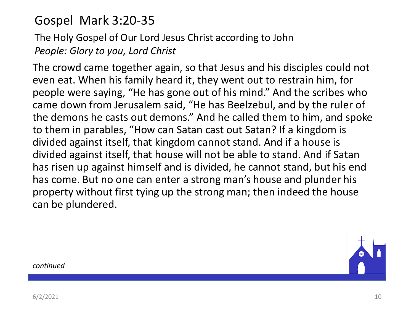## Gospel Mark 3:20-35

## The Holy Gospel of Our Lord Jesus Christ according to John *People: Glory to you, Lord Christ*

The crowd came together again, so that Jesus and his disciples could not even eat. When his family heard it, they went out to restrain him, for people were saying, "He has gone out of his mind." And the scribes who came down from Jerusalem said, "He has Beelzebul, and by the ruler of the demons he casts out demons." And he called them to him, and spoke to them in parables, "How can Satan cast out Satan? If a kingdom is divided against itself, that kingdom cannot stand. And if a house is divided against itself, that house will not be able to stand. And if Satan has risen up against himself and is divided, he cannot stand, but his end has come. But no one can enter a strong man's house and plunder his property without first tying up the strong man; then indeed the house can be plundered.

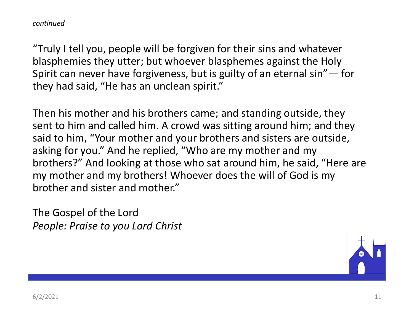"Truly I tell you, people will be forgiven for their sins and whatever blasphemies they utter; but whoever blasphemes against the Holy Spirit can never have forgiveness, but is guilty of an eternal sin"— for they had said, "He has an unclean spirit."

Then his mother and his brothers came; and standing outside, they sent to him and called him. A crowd was sitting around him; and they said to him, "Your mother and your brothers and sisters are outside, asking for you." And he replied, "Who are my mother and my brothers?" And looking at those who sat around him, he said, "Here are my mother and my brothers! Whoever does the will of God is my brother and sister and mother."

The Gospel of the Lord *People: Praise to you Lord Christ*

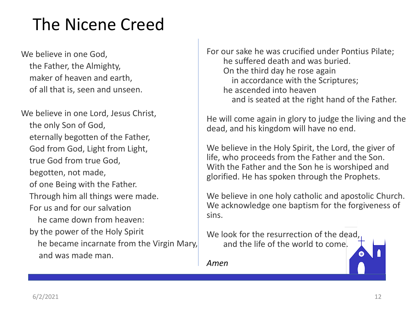# The Nicene Creed

We believe in one God, the Father, the Almighty, maker of heaven and earth, of all that is, seen and unseen.

We believe in one Lord, Jesus Christ, the only Son of God, eternally begotten of the Father, God from God, Light from Light, true God from true God, begotten, not made, of one Being with the Father. Through him all things were made. For us and for our salvation he came down from heaven: by the power of the Holy Spirit he became incarnate from the Virgin Mary, and was made man.

For our sake he was crucified under Pontius Pilate; he suffered death and was buried. On the third day he rose again in accordance with the Scriptures; he ascended into heaven and is seated at the right hand of the Father.

He will come again in glory to judge the living and the dead, and his kingdom will have no end.

We believe in the Holy Spirit, the Lord, the giver of life, who proceeds from the Father and the Son. With the Father and the Son he is worshiped and glorified. He has spoken through the Prophets.

We believe in one holy catholic and apostolic Church. We acknowledge one baptism for the forgiveness of sins.

We look for the resurrection of the dead, and the life of the world to come.

*Amen*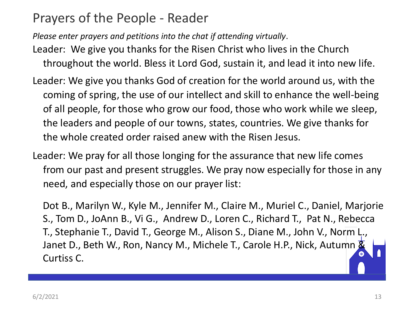## Prayers of the People - Reader

*Please enter prayers and petitions into the chat if attending virtually*.

- Leader: We give you thanks for the Risen Christ who lives in the Church throughout the world. Bless it Lord God, sustain it, and lead it into new life.
- Leader: We give you thanks God of creation for the world around us, with the coming of spring, the use of our intellect and skill to enhance the well-being of all people, for those who grow our food, those who work while we sleep, the leaders and people of our towns, states, countries. We give thanks for the whole created order raised anew with the Risen Jesus.
- Leader: We pray for all those longing for the assurance that new life comes from our past and present struggles. We pray now especially for those in any need, and especially those on our prayer list:

Dot B., Marilyn W., Kyle M., Jennifer M., Claire M., Muriel C., Daniel, Marjorie S., Tom D., JoAnn B., Vi G., Andrew D., Loren C., Richard T., Pat N., Rebecca T., Stephanie T., David T., George M., Alison S., Diane M., John V., Norm L., Janet D., Beth W., Ron, Nancy M., Michele T., Carole H.P., Nick, Autumn & Curtiss C.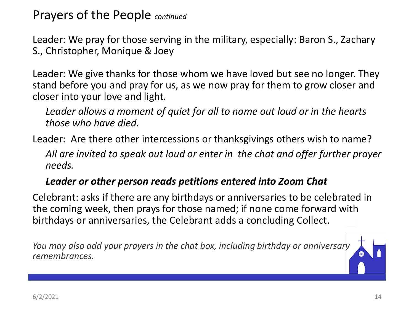Prayers of the People *continued*

Leader: We pray for those serving in the military, especially: Baron S., Zachary S., Christopher, Monique & Joey

Leader: We give thanks for those whom we have loved but see no longer. They stand before you and pray for us, as we now pray for them to grow closer and closer into your love and light.

*Leader allows a moment of quiet for all to name out loud or in the hearts those who have died.*

Leader: Are there other intercessions or thanksgivings others wish to name?

*All are invited to speak out loud or enter in the chat and offer further prayer needs.*

#### *Leader or other person reads petitions entered into Zoom Chat*

Celebrant: asks if there are any birthdays or anniversaries to be celebrated in the coming week, then prays for those named; if none come forward with birthdays or anniversaries, the Celebrant adds a concluding Collect.

*You may also add your prayers in the chat box, including birthday or anniversary remembrances.*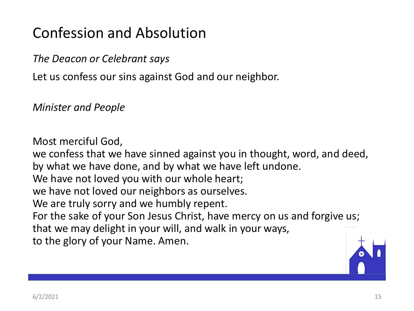# Confession and Absolution

*The Deacon or Celebrant says*

Let us confess our sins against God and our neighbor.

*Minister and People*

Most merciful God, we confess that we have sinned against you in thought, word, and deed, by what we have done, and by what we have left undone. We have not loved you with our whole heart; we have not loved our neighbors as ourselves. We are truly sorry and we humbly repent. For the sake of your Son Jesus Christ, have mercy on us and forgive us; that we may delight in your will, and walk in your ways, to the glory of your Name. Amen.

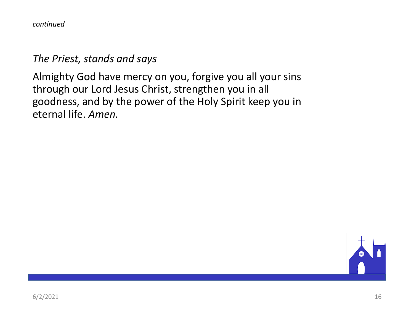*continued*

#### *The Priest, stands and says*

Almighty God have mercy on you, forgive you all your sins through our Lord Jesus Christ, strengthen you in all goodness, and by the power of the Holy Spirit keep you in eternal life. *Amen.*

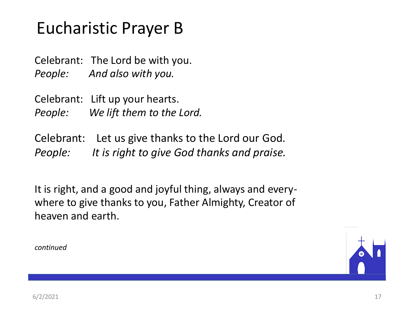# Eucharistic Prayer B

Celebrant: The Lord be with you. *People: And also with you.*

Celebrant: Lift up your hearts. *People: We lift them to the Lord.*

Celebrant: Let us give thanks to the Lord our God. *People: It is right to give God thanks and praise.*

It is right, and a good and joyful thing, always and everywhere to give thanks to you, Father Almighty, Creator of heaven and earth.

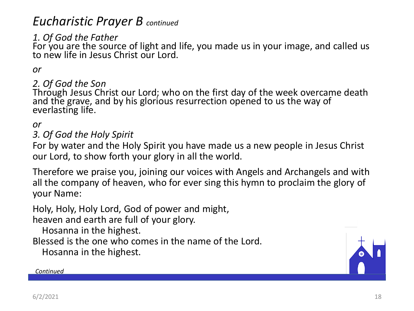## *Eucharistic Prayer B continued*

### *1. Of God the Father*

For you are the source of light and life, you made us in your image, and called us to new life in Jesus Christ our Lord.

#### *or*

#### *2. Of God the Son*

Through Jesus Christ our Lord; who on the first day of the week overcame death and the grave, and by his glorious resurrection opened to us the way of everlasting life.

#### *or*

#### *3. Of God the Holy Spirit*

For by water and the Holy Spirit you have made us a new people in Jesus Christ our Lord, to show forth your glory in all the world.

Therefore we praise you, joining our voices with Angels and Archangels and with all the company of heaven, who for ever sing this hymn to proclaim the glory of your Name:

Holy, Holy, Holy Lord, God of power and might,

heaven and earth are full of your glory.

Hosanna in the highest.

Blessed is the one who comes in the name of the Lord.

Hosanna in the highest.



#### *Continued*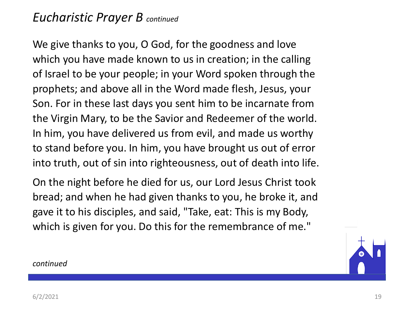## *Eucharistic Prayer B continued*

We give thanks to you, O God, for the goodness and love which you have made known to us in creation; in the calling of Israel to be your people; in your Word spoken through the prophets; and above all in the Word made flesh, Jesus, your Son. For in these last days you sent him to be incarnate from the Virgin Mary, to be the Savior and Redeemer of the world. In him, you have delivered us from evil, and made us worthy to stand before you. In him, you have brought us out of error into truth, out of sin into righteousness, out of death into life.

On the night before he died for us, our Lord Jesus Christ took bread; and when he had given thanks to you, he broke it, and gave it to his disciples, and said, "Take, eat: This is my Body, which is given for you. Do this for the remembrance of me."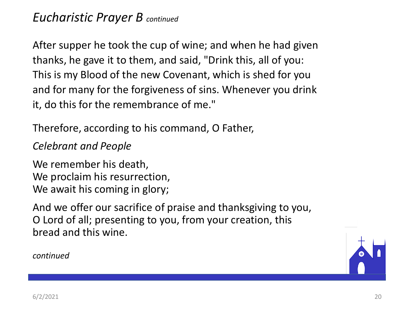After supper he took the cup of wine; and when he had given thanks, he gave it to them, and said, "Drink this, all of you: This is my Blood of the new Covenant, which is shed for you and for many for the forgiveness of sins. Whenever you drink it, do this for the remembrance of me."

Therefore, according to his command, O Father,

#### *Celebrant and People*

We remember his death, We proclaim his resurrection, We await his coming in glory;

And we offer our sacrifice of praise and thanksgiving to you, O Lord of all; presenting to you, from your creation, this bread and this wine.

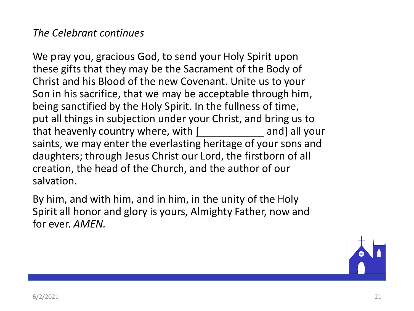#### *The Celebrant continues*

We pray you, gracious God, to send your Holy Spirit upon these gifts that they may be the Sacrament of the Body of Christ and his Blood of the new Covenant. Unite us to your Son in his sacrifice, that we may be acceptable through him, being sanctified by the Holy Spirit. In the fullness of time, put all things in subjection under your Christ, and bring us to that heavenly country where, with [ and] all your saints, we may enter the everlasting heritage of your sons and daughters; through Jesus Christ our Lord, the firstborn of all creation, the head of the Church, and the author of our salvation.

By him, and with him, and in him, in the unity of the Holy Spirit all honor and glory is yours, Almighty Father, now and for ever. *AMEN.*

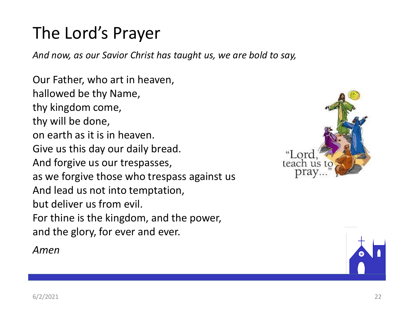# The Lord's Prayer

*And now, as our Savior Christ has taught us, we are bold to say,*

Our Father, who art in heaven, hallowed be thy Name, thy kingdom come, thy will be done, on earth as it is in heaven. Give us this day our daily bread. And forgive us our trespasses, as we forgive those who trespass against us And lead us not into temptation, but deliver us from evil. For thine is the kingdom, and the power, and the glory, for ever and ever.

*Amen*



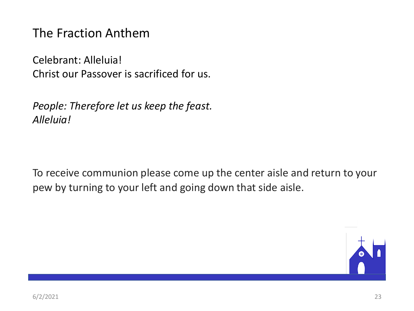The Fraction Anthem

Celebrant: Alleluia! Christ our Passover is sacrificed for us.

*People: Therefore let us keep the feast. Alleluia!* 

To receive communion please come up the center aisle and return to your pew by turning to your left and going down that side aisle.

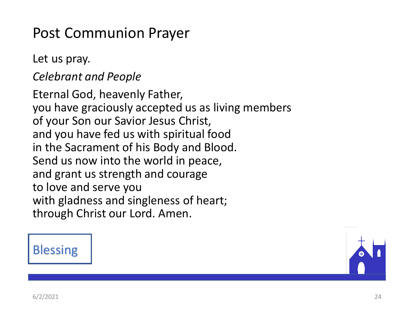# Post Communion Prayer

Let us pray.

*Celebrant and People*

Eternal God, heavenly Father, you have graciously accepted us as living members of your Son our Savior Jesus Christ, and you have fed us with spiritual food in the Sacrament of his Body and Blood. Send us now into the world in peace, and grant us strength and courage to love and serve you with gladness and singleness of heart; through Christ our Lord. Amen.

## **Blessing**